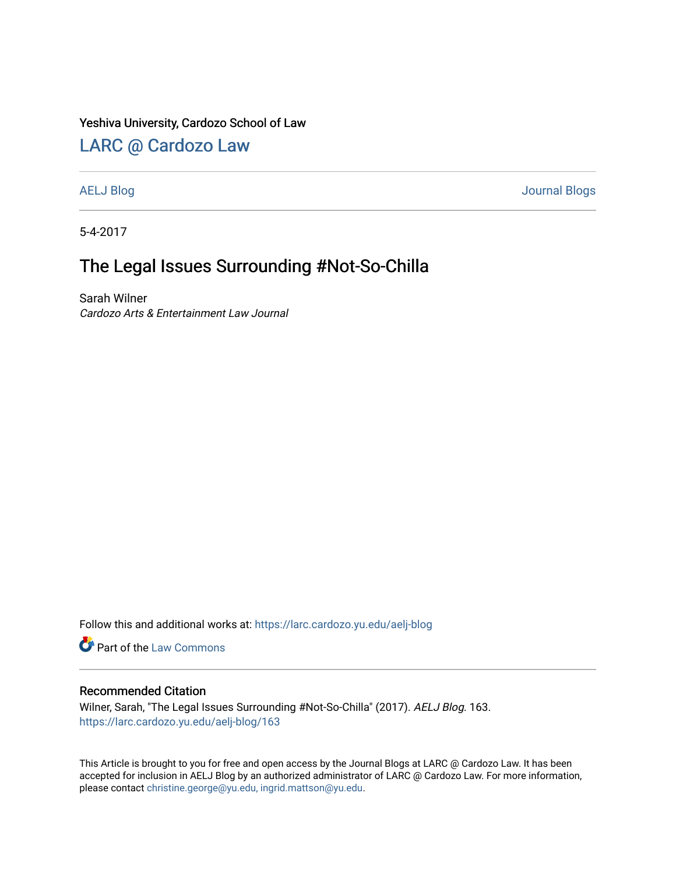#### Yeshiva University, Cardozo School of Law

### [LARC @ Cardozo Law](https://larc.cardozo.yu.edu/)

[AELJ Blog](https://larc.cardozo.yu.edu/aelj-blog) [Journal Blogs](https://larc.cardozo.yu.edu/journal-blogs) 

5-4-2017

# The Legal Issues Surrounding #Not-So-Chilla

Sarah Wilner Cardozo Arts & Entertainment Law Journal

Follow this and additional works at: [https://larc.cardozo.yu.edu/aelj-blog](https://larc.cardozo.yu.edu/aelj-blog?utm_source=larc.cardozo.yu.edu%2Faelj-blog%2F163&utm_medium=PDF&utm_campaign=PDFCoverPages) 

Part of the [Law Commons](http://network.bepress.com/hgg/discipline/578?utm_source=larc.cardozo.yu.edu%2Faelj-blog%2F163&utm_medium=PDF&utm_campaign=PDFCoverPages)

#### Recommended Citation

Wilner, Sarah, "The Legal Issues Surrounding #Not-So-Chilla" (2017). AELJ Blog. 163. [https://larc.cardozo.yu.edu/aelj-blog/163](https://larc.cardozo.yu.edu/aelj-blog/163?utm_source=larc.cardozo.yu.edu%2Faelj-blog%2F163&utm_medium=PDF&utm_campaign=PDFCoverPages) 

This Article is brought to you for free and open access by the Journal Blogs at LARC @ Cardozo Law. It has been accepted for inclusion in AELJ Blog by an authorized administrator of LARC @ Cardozo Law. For more information, please contact [christine.george@yu.edu, ingrid.mattson@yu.edu.](mailto:christine.george@yu.edu,%20ingrid.mattson@yu.edu)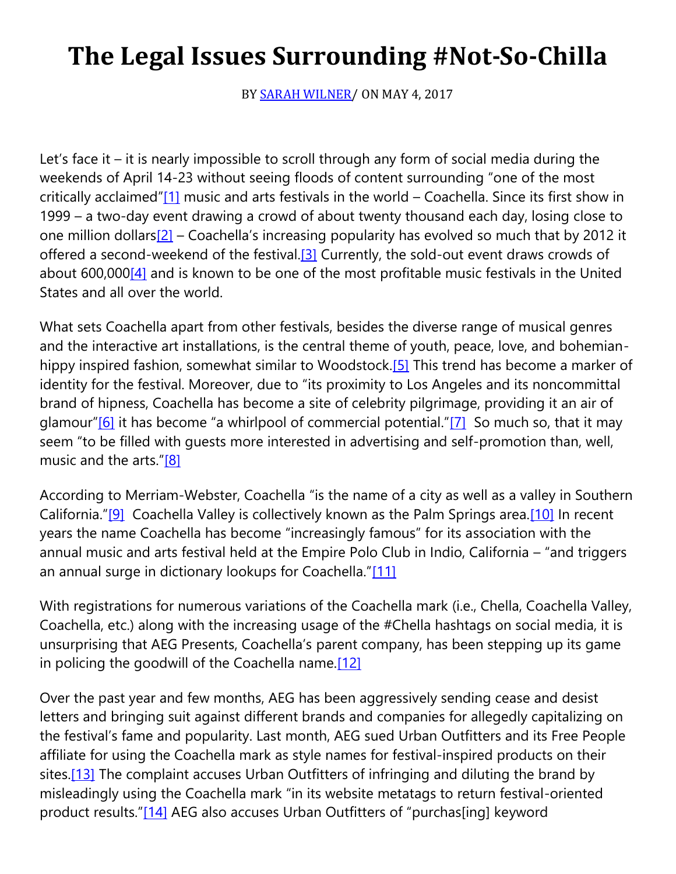# **The Legal Issues Surrounding #Not-So-Chilla**

BY **SARAH WILNER** (ON MAY 4, 2017)

Let's face it – it is nearly impossible to scroll through any form of social media during the weekends of April 14-23 without seeing floods of content surrounding "one of the most critically acclaimed"[\[1\]](https://cardozoaelj.com/2017/05/04/legal-issues-surrounding-not-chilla/#_ftn1) music and arts festivals in the world - Coachella. Since its first show in 1999 – a two-day event drawing a crowd of about twenty thousand each day, losing close to one million dollars $[2]$  – Coachella's increasing popularity has evolved so much that by 2012 it offered a second-weekend of the festival[.\[3\]](https://cardozoaelj.com/2017/05/04/legal-issues-surrounding-not-chilla/#_ftn3) Currently, the sold-out event draws crowds of about 600,00[0\[4\]](https://cardozoaelj.com/2017/05/04/legal-issues-surrounding-not-chilla/#_ftn4) and is known to be one of the most profitable music festivals in the United States and all over the world.

What sets Coachella apart from other festivals, besides the diverse range of musical genres and the interactive art installations, is the central theme of youth, peace, love, and bohemian-hippy inspired fashion, somewhat similar to Woodstock[.\[5\]](https://cardozoaelj.com/2017/05/04/legal-issues-surrounding-not-chilla/#_ftn5) This trend has become a marker of identity for the festival. Moreover, due to "its proximity to Los Angeles and its noncommittal brand of hipness, Coachella has become a site of celebrity pilgrimage, providing it an air of glamour" $[6]$  it has become "a whirlpool of commercial potential." $[7]$  So much so, that it may seem "to be filled with guests more interested in advertising and self-promotion than, well, music and the arts."[\[8\]](https://cardozoaelj.com/2017/05/04/legal-issues-surrounding-not-chilla/#_ftn8)

According to Merriam-Webster, Coachella "is the name of a city as well as a valley in Southern California."[\[9\]](https://cardozoaelj.com/2017/05/04/legal-issues-surrounding-not-chilla/#_ftn9) Coachella Valley is collectively known as the Palm Springs area[.\[10\]](https://cardozoaelj.com/2017/05/04/legal-issues-surrounding-not-chilla/#_ftn10) In recent years the name Coachella has become "increasingly famous" for its association with the annual music and arts festival held at the Empire Polo Club in Indio, California – "and triggers an annual surge in dictionary lookups for Coachella."[\[11\]](https://cardozoaelj.com/2017/05/04/legal-issues-surrounding-not-chilla/#_ftn11)

With registrations for numerous variations of the Coachella mark (i.e., Chella, Coachella Valley, Coachella, etc.) along with the increasing usage of the #Chella hashtags on social media, it is unsurprising that AEG Presents, Coachella's parent company, has been stepping up its game in policing the goodwill of the Coachella name[.\[12\]](https://cardozoaelj.com/2017/05/04/legal-issues-surrounding-not-chilla/#_ftn12)

Over the past year and few months, AEG has been aggressively sending cease and desist letters and bringing suit against different brands and companies for allegedly capitalizing on the festival's fame and popularity. Last month, AEG sued Urban Outfitters and its Free People affiliate for using the Coachella mark as style names for festival-inspired products on their sites[.\[13\]](https://cardozoaelj.com/2017/05/04/legal-issues-surrounding-not-chilla/#_ftn13) The complaint accuses Urban Outfitters of infringing and diluting the brand by misleadingly using the Coachella mark "in its website metatags to return festival-oriented product results."[\[14\]](https://cardozoaelj.com/2017/05/04/legal-issues-surrounding-not-chilla/#_ftn14) AEG also accuses Urban Outfitters of "purchas[ing] keyword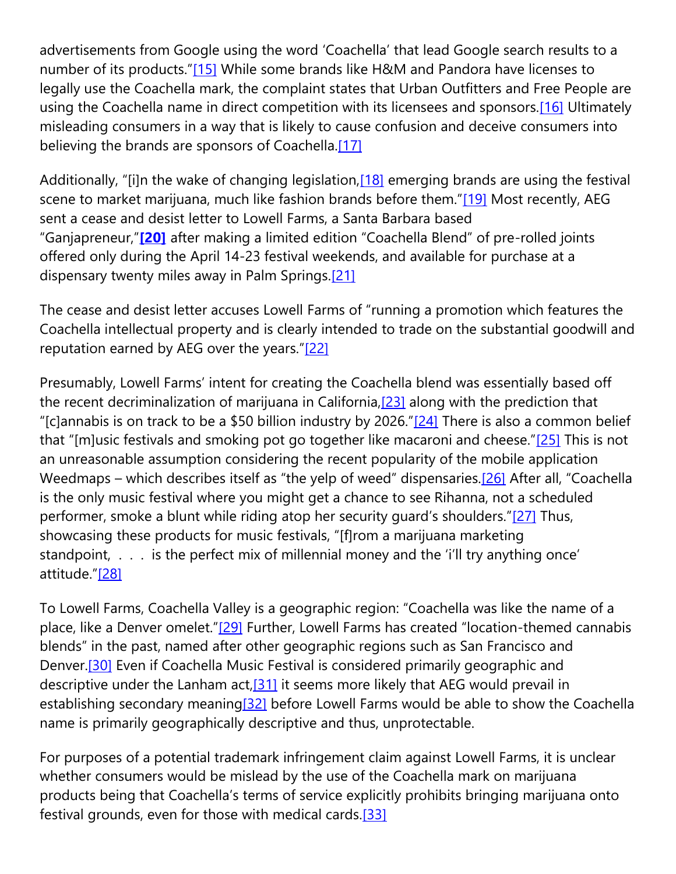advertisements from Google using the word 'Coachella' that lead Google search results to a number of its products."[\[15\]](https://cardozoaelj.com/2017/05/04/legal-issues-surrounding-not-chilla/#_ftn15) While some brands like H&M and Pandora have licenses to legally use the Coachella mark, the complaint states that Urban Outfitters and Free People are using the Coachella name in direct competition with its licensees and sponsors.<sup>[16]</sup> Ultimately misleading consumers in a way that is likely to cause confusion and deceive consumers into believing the brands are sponsors of Coachella.<sup>[17]</sup>

Additionally, "[i]n the wake of changing legislation, [\[18\]](https://cardozoaelj.com/2017/05/04/legal-issues-surrounding-not-chilla/#_ftn18) emerging brands are using the festival scene to market marijuana, much like fashion brands before them."[\[19\]](https://cardozoaelj.com/2017/05/04/legal-issues-surrounding-not-chilla/#_ftn19) Most recently, AEG sent a cease and desist letter to Lowell Farms, a Santa Barbara based "Ganjapreneur,"**[\[20\]](https://cardozoaelj.com/2017/05/04/legal-issues-surrounding-not-chilla/#_ftn20)** after making a limited edition "Coachella Blend" of pre-rolled joints offered only during the April 14-23 festival weekends, and available for purchase at a dispensary twenty miles away in Palm Springs.<sup>[21]</sup>

The cease and desist letter accuses Lowell Farms of "running a promotion which features the Coachella intellectual property and is clearly intended to trade on the substantial goodwill and reputation earned by AEG over the years."[\[22\]](https://cardozoaelj.com/2017/05/04/legal-issues-surrounding-not-chilla/#_ftn22)

Presumably, Lowell Farms' intent for creating the Coachella blend was essentially based off the recent decriminalization of marijuana in California, $[23]$  along with the prediction that "[c]annabis is on track to be a \$50 billion industry by 2026." $[24]$  There is also a common belief that "[m]usic festivals and smoking pot go together like macaroni and cheese." $[25]$  This is not an unreasonable assumption considering the recent popularity of the mobile application Weedmaps – which describes itself as "the yelp of weed" dispensaries.<sup>[\[26\]](https://cardozoaelj.com/2017/05/04/legal-issues-surrounding-not-chilla/#_ftn26)</sup> After all, "Coachella is the only music festival where you might get a chance to see Rihanna, not a scheduled performer, smoke a blunt while riding atop her security guard's shoulders."[\[27\]](https://cardozoaelj.com/2017/05/04/legal-issues-surrounding-not-chilla/#_ftn27) Thus, showcasing these products for music festivals, "[f]rom a marijuana marketing standpoint, . . . is the perfect mix of millennial money and the 'i'll try anything once' attitude."[\[28\]](https://cardozoaelj.com/2017/05/04/legal-issues-surrounding-not-chilla/#_ftn28)

To Lowell Farms, Coachella Valley is a geographic region: "Coachella was like the name of a place, like a Denver omelet."[\[29\]](https://cardozoaelj.com/2017/05/04/legal-issues-surrounding-not-chilla/#_ftn29) Further, Lowell Farms has created "location-themed cannabis blends" in the past, named after other geographic regions such as San Francisco and Denver.<sup>[30]</sup> Even if Coachella Music Festival is considered primarily geographic and descriptive under the Lanham  $act,[31]$  $act,[31]$  it seems more likely that AEG would prevail in establishing secondary meaning<sup>[32]</sup> before Lowell Farms would be able to show the Coachella name is primarily geographically descriptive and thus, unprotectable.

For purposes of a potential trademark infringement claim against Lowell Farms, it is unclear whether consumers would be mislead by the use of the Coachella mark on marijuana products being that Coachella's terms of service explicitly prohibits bringing marijuana onto festival grounds, even for those with medical cards[.\[33\]](https://cardozoaelj.com/2017/05/04/legal-issues-surrounding-not-chilla/#_ftn33)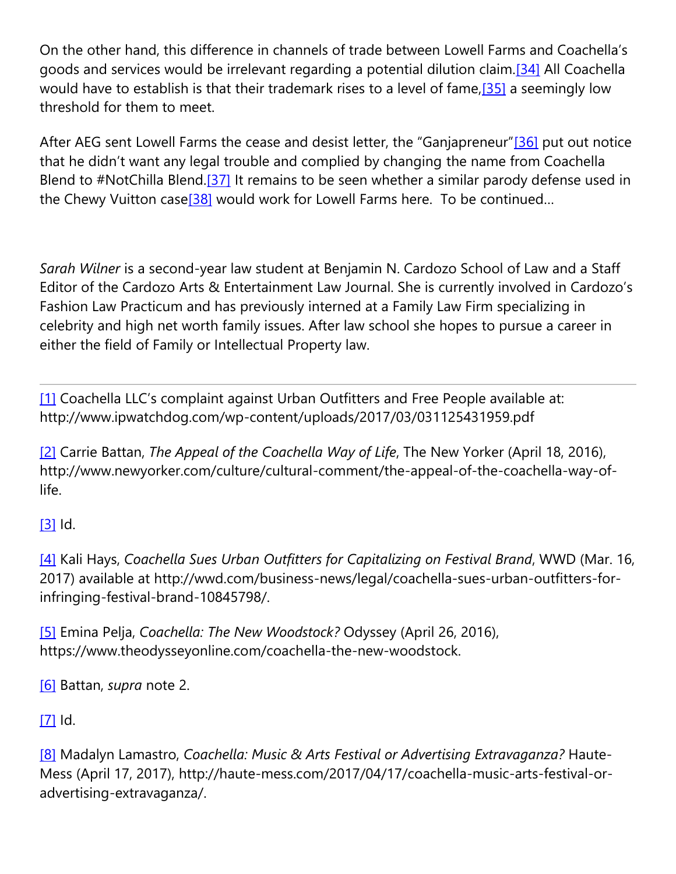On the other hand, this difference in channels of trade between Lowell Farms and Coachella's goods and services would be irrelevant regarding a potential dilution claim.<sup>[34]</sup> All Coachella would have to establish is that their trademark rises to a level of fame[,\[35\]](https://cardozoaelj.com/2017/05/04/legal-issues-surrounding-not-chilla/#_ftn35) a seemingly low threshold for them to meet.

After AEG sent Lowell Farms the cease and desist letter, the "Ganjapreneur"[\[36\]](https://cardozoaelj.com/2017/05/04/legal-issues-surrounding-not-chilla/#_ftn36) put out notice that he didn't want any legal trouble and complied by changing the name from Coachella Blend to #NotChilla Blend.<sup>[37]</sup> It remains to be seen whether a similar parody defense used in the Chewy Vuitton case<sup>[38]</sup> would work for Lowell Farms here. To be continued...

*Sarah Wilner* is a second-year law student at Benjamin N. Cardozo School of Law and a Staff Editor of the Cardozo Arts & Entertainment Law Journal. She is currently involved in Cardozo's Fashion Law Practicum and has previously interned at a Family Law Firm specializing in celebrity and high net worth family issues. After law school she hopes to pursue a career in either the field of Family or Intellectual Property law.

[\[1\]](https://cardozoaelj.com/2017/05/04/legal-issues-surrounding-not-chilla/#_ftnref1) Coachella LLC's complaint against Urban Outfitters and Free People available at: http://www.ipwatchdog.com/wp-content/uploads/2017/03/031125431959.pdf

[\[2\]](https://cardozoaelj.com/2017/05/04/legal-issues-surrounding-not-chilla/#_ftnref2) Carrie Battan, *The Appeal of the Coachella Way of Life*, The New Yorker (April 18, 2016), http://www.newyorker.com/culture/cultural-comment/the-appeal-of-the-coachella-way-oflife.

 $[3]$  Id.

[\[4\]](https://cardozoaelj.com/2017/05/04/legal-issues-surrounding-not-chilla/#_ftnref4) Kali Hays, *Coachella Sues Urban Outfitters for Capitalizing on Festival Brand*, WWD (Mar. 16, 2017) available at http://wwd.com/business-news/legal/coachella-sues-urban-outfitters-forinfringing-festival-brand-10845798/.

[\[5\]](https://cardozoaelj.com/2017/05/04/legal-issues-surrounding-not-chilla/#_ftnref5) Emina Pelja, *Coachella: The New Woodstock?* Odyssey (April 26, 2016), https://www.theodysseyonline.com/coachella-the-new-woodstock.

[\[6\]](https://cardozoaelj.com/2017/05/04/legal-issues-surrounding-not-chilla/#_ftnref6) Battan, *supra* note 2.

 $[7]$  Id.

[\[8\]](https://cardozoaelj.com/2017/05/04/legal-issues-surrounding-not-chilla/#_ftnref8) Madalyn Lamastro, *Coachella: Music & Arts Festival or Advertising Extravaganza?* Haute-Mess (April 17, 2017), http://haute-mess.com/2017/04/17/coachella-music-arts-festival-oradvertising-extravaganza/.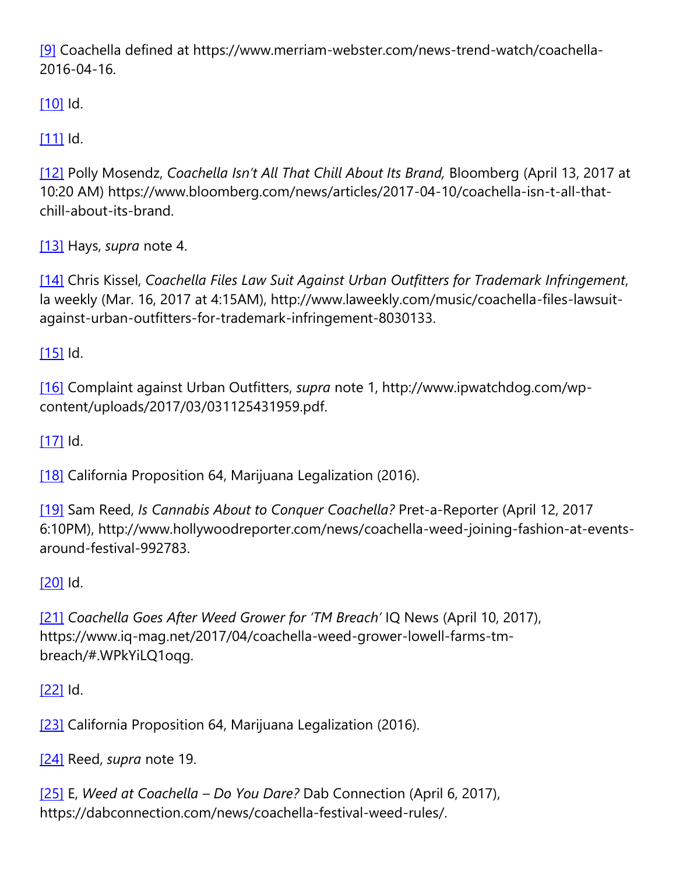[\[9\]](https://cardozoaelj.com/2017/05/04/legal-issues-surrounding-not-chilla/#_ftnref9) Coachella defined at https://www.merriam-webster.com/news-trend-watch/coachella-2016-04-16.

[\[10\]](https://cardozoaelj.com/2017/05/04/legal-issues-surrounding-not-chilla/#_ftnref10) Id.

 $[11]$  Id.

[\[12\]](https://cardozoaelj.com/2017/05/04/legal-issues-surrounding-not-chilla/#_ftnref12) Polly Mosendz, *Coachella Isn't All That Chill About Its Brand,* Bloomberg (April 13, 2017 at 10:20 AM) https://www.bloomberg.com/news/articles/2017-04-10/coachella-isn-t-all-thatchill-about-its-brand.

[\[13\]](https://cardozoaelj.com/2017/05/04/legal-issues-surrounding-not-chilla/#_ftnref13) Hays, *supra* note 4.

[\[14\]](https://cardozoaelj.com/2017/05/04/legal-issues-surrounding-not-chilla/#_ftnref14) Chris Kissel, *Coachella Files Law Suit Against Urban Outfitters for Trademark Infringement*, la weekly (Mar. 16, 2017 at 4:15AM), http://www.laweekly.com/music/coachella-files-lawsuitagainst-urban-outfitters-for-trademark-infringement-8030133.

[\[15\]](https://cardozoaelj.com/2017/05/04/legal-issues-surrounding-not-chilla/#_ftnref15) Id.

[\[16\]](https://cardozoaelj.com/2017/05/04/legal-issues-surrounding-not-chilla/#_ftnref16) Complaint against Urban Outfitters, *supra* note 1, http://www.ipwatchdog.com/wpcontent/uploads/2017/03/031125431959.pdf.

 $[17]$  Id.

[\[18\]](https://cardozoaelj.com/2017/05/04/legal-issues-surrounding-not-chilla/#_ftnref18) California Proposition 64, Marijuana Legalization (2016).

[\[19\]](https://cardozoaelj.com/2017/05/04/legal-issues-surrounding-not-chilla/#_ftnref19) Sam Reed, *Is Cannabis About to Conquer Coachella?* Pret-a-Reporter (April 12, 2017 6:10PM), http://www.hollywoodreporter.com/news/coachella-weed-joining-fashion-at-eventsaround-festival-992783.

## [\[20\]](https://cardozoaelj.com/2017/05/04/legal-issues-surrounding-not-chilla/#_ftnref20) Id.

[\[21\]](https://cardozoaelj.com/2017/05/04/legal-issues-surrounding-not-chilla/#_ftnref21) *Coachella Goes After Weed Grower for 'TM Breach'* IQ News (April 10, 2017), https://www.iq-mag.net/2017/04/coachella-weed-grower-lowell-farms-tmbreach/#.WPkYiLQ1oqg.

[\[22\]](https://cardozoaelj.com/2017/05/04/legal-issues-surrounding-not-chilla/#_ftnref22) Id.

[\[23\]](https://cardozoaelj.com/2017/05/04/legal-issues-surrounding-not-chilla/#_ftnref23) California Proposition 64, Marijuana Legalization (2016).

[\[24\]](https://cardozoaelj.com/2017/05/04/legal-issues-surrounding-not-chilla/#_ftnref24) Reed, *supra* note 19.

[\[25\]](https://cardozoaelj.com/2017/05/04/legal-issues-surrounding-not-chilla/#_ftnref25) E, *Weed at Coachella – Do You Dare?* Dab Connection (April 6, 2017), https://dabconnection.com/news/coachella-festival-weed-rules/.